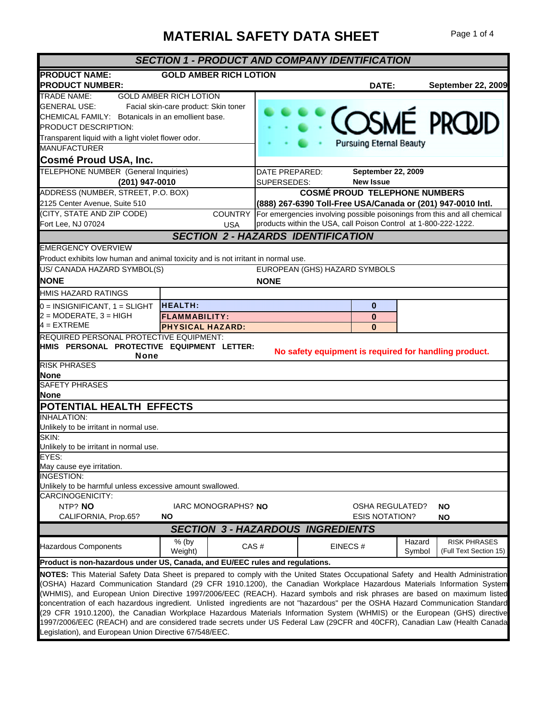## **MATERIAL SAFETY DATA SHEET** Page 1 of 4

| <b>SECTION 1 - PRODUCT AND COMPANY IDENTIFICATION</b>                                                                             |                                           |                |  |                                                                 |                  |                                                                          |
|-----------------------------------------------------------------------------------------------------------------------------------|-------------------------------------------|----------------|--|-----------------------------------------------------------------|------------------|--------------------------------------------------------------------------|
| <b>PRODUCT NAME:</b>                                                                                                              | <b>GOLD AMBER RICH LOTION</b>             |                |  |                                                                 |                  |                                                                          |
| <b>PRODUCT NUMBER:</b>                                                                                                            |                                           |                |  | DATE:                                                           |                  | September 22, 2009                                                       |
| TRADE NAME:                                                                                                                       | <b>GOLD AMBER RICH LOTION</b>             |                |  |                                                                 |                  |                                                                          |
| <b>GENERAL USE:</b>                                                                                                               | Facial skin-care product: Skin toner      |                |  |                                                                 |                  |                                                                          |
| CHEMICAL FAMILY: Botanicals in an emollient base.                                                                                 |                                           |                |  |                                                                 |                  | COSMÉ PROUD                                                              |
| PRODUCT DESCRIPTION:                                                                                                              |                                           |                |  |                                                                 |                  |                                                                          |
| Transparent liquid with a light violet flower odor.                                                                               |                                           |                |  |                                                                 |                  |                                                                          |
| <b>MANUFACTURER</b>                                                                                                               |                                           |                |  | <b>Pursuing Eternal Beauty</b>                                  |                  |                                                                          |
| Cosmé Proud USA, Inc.                                                                                                             |                                           |                |  |                                                                 |                  |                                                                          |
| TELEPHONE NUMBER (General Inquiries)                                                                                              |                                           | DATE PREPARED: |  | September 22, 2009                                              |                  |                                                                          |
| (201) 947-0010                                                                                                                    |                                           | SUPERSEDES:    |  | <b>New Issue</b>                                                |                  |                                                                          |
| ADDRESS (NUMBER, STREET, P.O. BOX)                                                                                                |                                           |                |  | <b>COSMÉ PROUD TELEPHONE NUMBERS</b>                            |                  |                                                                          |
| 2125 Center Avenue, Suite 510                                                                                                     |                                           |                |  |                                                                 |                  | (888) 267-6390 Toll-Free USA/Canada or (201) 947-0010 Intl.              |
| (CITY, STATE AND ZIP CODE)                                                                                                        | <b>COUNTRY</b>                            |                |  |                                                                 |                  | For emergencies involving possible poisonings from this and all chemical |
| Fort Lee, NJ 07024                                                                                                                | <b>USA</b>                                |                |  | products within the USA, call Poison Control at 1-800-222-1222. |                  |                                                                          |
|                                                                                                                                   | <b>SECTION 2 - HAZARDS IDENTIFICATION</b> |                |  |                                                                 |                  |                                                                          |
| <b>EMERGENCY OVERVIEW</b>                                                                                                         |                                           |                |  |                                                                 |                  |                                                                          |
| Product exhibits low human and animal toxicity and is not irritant in normal use.                                                 |                                           |                |  |                                                                 |                  |                                                                          |
| US/ CANADA HAZARD SYMBOL(S)                                                                                                       |                                           |                |  | EUROPEAN (GHS) HAZARD SYMBOLS                                   |                  |                                                                          |
| <b>NONE</b>                                                                                                                       |                                           | <b>NONE</b>    |  |                                                                 |                  |                                                                          |
| HMIS HAZARD RATINGS                                                                                                               |                                           |                |  |                                                                 |                  |                                                                          |
|                                                                                                                                   | <b>HEALTH:</b>                            |                |  |                                                                 |                  |                                                                          |
| $0 =$ INSIGNIFICANT, $1 =$ SLIGHT                                                                                                 |                                           |                |  | $\mathbf 0$                                                     |                  |                                                                          |
| $2 = MODERATE$ , $3 = HIGH$                                                                                                       | <b>FLAMMABILITY:</b>                      |                |  | $\mathbf 0$                                                     |                  |                                                                          |
| $4 = EXTREME$                                                                                                                     | <b>PHYSICAL HAZARD:</b>                   |                |  | O                                                               |                  |                                                                          |
| REQUIRED PERSONAL PROTECTIVE EQUIPMENT:                                                                                           |                                           |                |  |                                                                 |                  |                                                                          |
| HMIS PERSONAL PROTECTIVE EQUIPMENT LETTER:<br><b>None</b>                                                                         |                                           |                |  |                                                                 |                  | No safety equipment is required for handling product.                    |
| <b>RISK PHRASES</b>                                                                                                               |                                           |                |  |                                                                 |                  |                                                                          |
| None                                                                                                                              |                                           |                |  |                                                                 |                  |                                                                          |
| <b>SAFETY PHRASES</b>                                                                                                             |                                           |                |  |                                                                 |                  |                                                                          |
| <b>None</b>                                                                                                                       |                                           |                |  |                                                                 |                  |                                                                          |
| POTENTIAL HEALTH EFFECTS                                                                                                          |                                           |                |  |                                                                 |                  |                                                                          |
| <b>INHALATION:</b>                                                                                                                |                                           |                |  |                                                                 |                  |                                                                          |
| Unlikely to be irritant in normal use.                                                                                            |                                           |                |  |                                                                 |                  |                                                                          |
| SKIN:                                                                                                                             |                                           |                |  |                                                                 |                  |                                                                          |
| Unlikely to be irritant in normal use.                                                                                            |                                           |                |  |                                                                 |                  |                                                                          |
| EYES:                                                                                                                             |                                           |                |  |                                                                 |                  |                                                                          |
| May cause eye irritation.                                                                                                         |                                           |                |  |                                                                 |                  |                                                                          |
| INGESTION:                                                                                                                        |                                           |                |  |                                                                 |                  |                                                                          |
| Unlikely to be harmful unless excessive amount swallowed.<br>CARCINOGENICITY:                                                     |                                           |                |  |                                                                 |                  |                                                                          |
| NTP? NO                                                                                                                           | IARC MONOGRAPHS? NO                       |                |  | OSHA REGULATED?                                                 |                  | NO.                                                                      |
| CALIFORNIA, Prop.65?                                                                                                              | <b>NO</b>                                 |                |  | <b>ESIS NOTATION?</b>                                           |                  | ΝO                                                                       |
|                                                                                                                                   | <b>SECTION 3 - HAZARDOUS INGREDIENTS</b>  |                |  |                                                                 |                  |                                                                          |
|                                                                                                                                   |                                           |                |  |                                                                 |                  |                                                                          |
| Hazardous Components                                                                                                              | $%$ (by<br>Weight)                        | CAS#           |  | EINECS#                                                         | Hazard<br>Symbol | <b>RISK PHRASES</b><br>(Full Text Section 15)                            |
| Product is non-hazardous under US, Canada, and EU/EEC rules and regulations.                                                      |                                           |                |  |                                                                 |                  |                                                                          |
| NOTES: This Material Safety Data Sheet is prepared to comply with the United States Occupational Safety and Health Administration |                                           |                |  |                                                                 |                  |                                                                          |
| (OSHA) Hazard Communication Standard (29 CFR 1910.1200), the Canadian Workplace Hazardous Materials Information System            |                                           |                |  |                                                                 |                  |                                                                          |
| (WHMIS), and European Union Directive 1997/2006/EEC (REACH). Hazard symbols and risk phrases are based on maximum listed          |                                           |                |  |                                                                 |                  |                                                                          |
| concentration of each hazardous ingredient. Unlisted ingredients are not "hazardous" per the OSHA Hazard Communication Standard   |                                           |                |  |                                                                 |                  |                                                                          |
| (29 CFR 1910.1200), the Canadian Workplace Hazardous Materials Information System (WHMIS) or the European (GHS) directive         |                                           |                |  |                                                                 |                  |                                                                          |
| 1997/2006/EEC (REACH) and are considered trade secrets under US Federal Law (29CFR and 40CFR), Canadian Law (Health Canada        |                                           |                |  |                                                                 |                  |                                                                          |
| Legislation), and European Union Directive 67/548/EEC.                                                                            |                                           |                |  |                                                                 |                  |                                                                          |
|                                                                                                                                   |                                           |                |  |                                                                 |                  |                                                                          |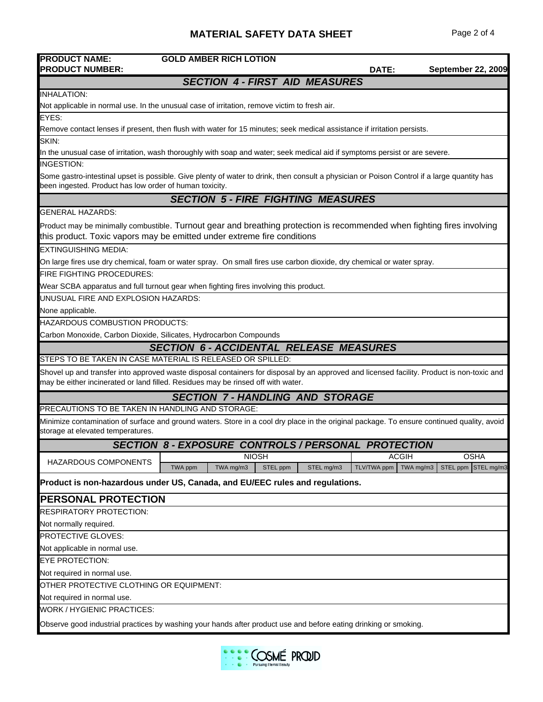## **MATERIAL SAFETY DATA SHEET** Page 2 of 4

| <b>PRODUCT NAME:</b>                                                                                                                                                                                   | <b>GOLD AMBER RICH LOTION</b>                                                                                                                                                                                                  |                          |                           |  |  |
|--------------------------------------------------------------------------------------------------------------------------------------------------------------------------------------------------------|--------------------------------------------------------------------------------------------------------------------------------------------------------------------------------------------------------------------------------|--------------------------|---------------------------|--|--|
| <b>PRODUCT NUMBER:</b>                                                                                                                                                                                 |                                                                                                                                                                                                                                | DATE:                    | <b>September 22, 2009</b> |  |  |
|                                                                                                                                                                                                        | <b>SECTION 4 - FIRST AID MEASURES</b>                                                                                                                                                                                          |                          |                           |  |  |
| <b>INHALATION:</b>                                                                                                                                                                                     |                                                                                                                                                                                                                                |                          |                           |  |  |
|                                                                                                                                                                                                        | Not applicable in normal use. In the unusual case of irritation, remove victim to fresh air.                                                                                                                                   |                          |                           |  |  |
| EYES:                                                                                                                                                                                                  | Remove contact lenses if present, then flush with water for 15 minutes; seek medical assistance if irritation persists.                                                                                                        |                          |                           |  |  |
| SKIN:                                                                                                                                                                                                  |                                                                                                                                                                                                                                |                          |                           |  |  |
|                                                                                                                                                                                                        | In the unusual case of irritation, wash thoroughly with soap and water; seek medical aid if symptoms persist or are severe.                                                                                                    |                          |                           |  |  |
| <b>INGESTION:</b>                                                                                                                                                                                      |                                                                                                                                                                                                                                |                          |                           |  |  |
| Some gastro-intestinal upset is possible. Give plenty of water to drink, then consult a physician or Poison Control if a large quantity has<br>been ingested. Product has low order of human toxicity. |                                                                                                                                                                                                                                |                          |                           |  |  |
|                                                                                                                                                                                                        | <b>SECTION 5 - FIRE FIGHTING MEASURES</b>                                                                                                                                                                                      |                          |                           |  |  |
| <b>GENERAL HAZARDS:</b>                                                                                                                                                                                |                                                                                                                                                                                                                                |                          |                           |  |  |
|                                                                                                                                                                                                        | Product may be minimally combustible. Turnout gear and breathing protection is recommended when fighting fires involving<br>this product. Toxic vapors may be emitted under extreme fire conditions                            |                          |                           |  |  |
| <b>EXTINGUISHING MEDIA:</b>                                                                                                                                                                            |                                                                                                                                                                                                                                |                          |                           |  |  |
|                                                                                                                                                                                                        | On large fires use dry chemical, foam or water spray. On small fires use carbon dioxide, dry chemical or water spray.                                                                                                          |                          |                           |  |  |
| <b>FIRE FIGHTING PROCEDURES:</b>                                                                                                                                                                       |                                                                                                                                                                                                                                |                          |                           |  |  |
|                                                                                                                                                                                                        | Wear SCBA apparatus and full turnout gear when fighting fires involving this product.                                                                                                                                          |                          |                           |  |  |
| UNUSUAL FIRE AND EXPLOSION HAZARDS:                                                                                                                                                                    |                                                                                                                                                                                                                                |                          |                           |  |  |
| None applicable.                                                                                                                                                                                       |                                                                                                                                                                                                                                |                          |                           |  |  |
| HAZARDOUS COMBUSTION PRODUCTS:                                                                                                                                                                         |                                                                                                                                                                                                                                |                          |                           |  |  |
| Carbon Monoxide, Carbon Dioxide, Silicates, Hydrocarbon Compounds                                                                                                                                      |                                                                                                                                                                                                                                |                          |                           |  |  |
|                                                                                                                                                                                                        | <b>SECTION 6 - ACCIDENTAL RELEASE MEASURES</b>                                                                                                                                                                                 |                          |                           |  |  |
|                                                                                                                                                                                                        | STEPS TO BE TAKEN IN CASE MATERIAL IS RELEASED OR SPILLED:                                                                                                                                                                     |                          |                           |  |  |
|                                                                                                                                                                                                        | Shovel up and transfer into approved waste disposal containers for disposal by an approved and licensed facility. Product is non-toxic and<br>may be either incinerated or land filled. Residues may be rinsed off with water. |                          |                           |  |  |
|                                                                                                                                                                                                        | <b>SECTION 7-HANDLING AND STORAGE</b>                                                                                                                                                                                          |                          |                           |  |  |
| PRECAUTIONS TO BE TAKEN IN HANDLING AND STORAGE:                                                                                                                                                       |                                                                                                                                                                                                                                |                          |                           |  |  |
| Minimize contamination of surface and ground waters. Store in a cool dry place in the original package. To ensure continued quality, avoid<br>storage at elevated temperatures.                        |                                                                                                                                                                                                                                |                          |                           |  |  |
|                                                                                                                                                                                                        | <b>SECTION 8 - EXPOSURE CONTROLS / PERSONAL PROTECTION</b>                                                                                                                                                                     |                          |                           |  |  |
| HAZARDOUS COMPONENTS                                                                                                                                                                                   | <b>NIOSH</b>                                                                                                                                                                                                                   | <b>ACGIH</b>             | <b>OSHA</b>               |  |  |
|                                                                                                                                                                                                        | TWA ppm<br>TWA mg/m3<br>STEL mg/m3<br>STEL ppm                                                                                                                                                                                 | TLV/TWA ppm<br>TWA mg/m3 | STEL ppm STEL mg/m3       |  |  |
|                                                                                                                                                                                                        | Product is non-hazardous under US, Canada, and EU/EEC rules and regulations.                                                                                                                                                   |                          |                           |  |  |
| <b>PERSONAL PROTECTION</b>                                                                                                                                                                             |                                                                                                                                                                                                                                |                          |                           |  |  |
| <b>RESPIRATORY PROTECTION:</b>                                                                                                                                                                         |                                                                                                                                                                                                                                |                          |                           |  |  |
| Not normally required.                                                                                                                                                                                 |                                                                                                                                                                                                                                |                          |                           |  |  |
| PROTECTIVE GLOVES:                                                                                                                                                                                     |                                                                                                                                                                                                                                |                          |                           |  |  |
| Not applicable in normal use.                                                                                                                                                                          |                                                                                                                                                                                                                                |                          |                           |  |  |
| <b>EYE PROTECTION:</b>                                                                                                                                                                                 |                                                                                                                                                                                                                                |                          |                           |  |  |
| Not required in normal use.                                                                                                                                                                            |                                                                                                                                                                                                                                |                          |                           |  |  |
| OTHER PROTECTIVE CLOTHING OR EQUIPMENT:                                                                                                                                                                |                                                                                                                                                                                                                                |                          |                           |  |  |
| Not required in normal use.                                                                                                                                                                            |                                                                                                                                                                                                                                |                          |                           |  |  |
| WORK / HYGIENIC PRACTICES:                                                                                                                                                                             |                                                                                                                                                                                                                                |                          |                           |  |  |
|                                                                                                                                                                                                        | Observe good industrial practices by washing your hands after product use and before eating drinking or smoking.                                                                                                               |                          |                           |  |  |

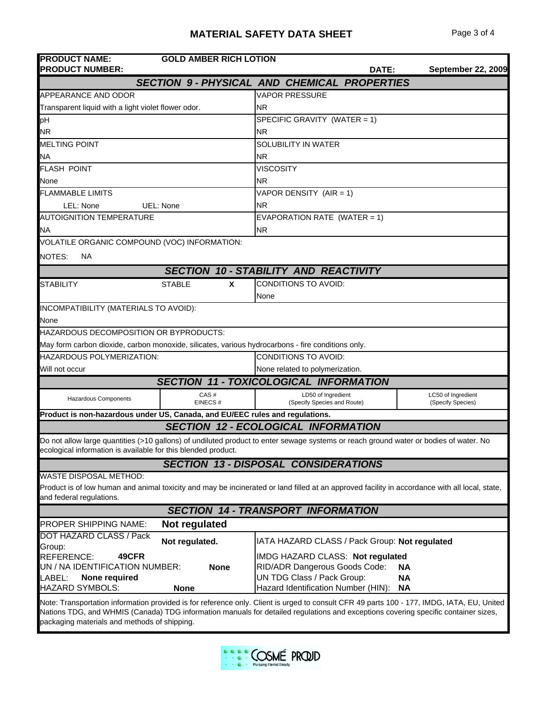| <b>PRODUCT NAME:</b><br><b>PRODUCT NUMBER:</b>                                                                                                                                                                                                                                                                                   | <b>GOLD AMBER RICH LOTION</b>                      |                  |                                                                                                                                        | DATE: | <b>September 22, 2009</b>               |  |
|----------------------------------------------------------------------------------------------------------------------------------------------------------------------------------------------------------------------------------------------------------------------------------------------------------------------------------|----------------------------------------------------|------------------|----------------------------------------------------------------------------------------------------------------------------------------|-------|-----------------------------------------|--|
|                                                                                                                                                                                                                                                                                                                                  | <b>SECTION 9- PHYSICAL AND CHEMICAL PROPERTIES</b> |                  |                                                                                                                                        |       |                                         |  |
| <b>APPEARANCE AND ODOR</b>                                                                                                                                                                                                                                                                                                       |                                                    |                  | <b>VAPOR PRESSURE</b>                                                                                                                  |       |                                         |  |
| Transparent liquid with a light violet flower odor.                                                                                                                                                                                                                                                                              |                                                    | <b>NR</b>        |                                                                                                                                        |       |                                         |  |
| рH                                                                                                                                                                                                                                                                                                                               |                                                    |                  | SPECIFIC GRAVITY (WATER = 1)                                                                                                           |       |                                         |  |
| <b>NR</b>                                                                                                                                                                                                                                                                                                                        |                                                    | <b>NR</b>        |                                                                                                                                        |       |                                         |  |
| <b>MELTING POINT</b>                                                                                                                                                                                                                                                                                                             |                                                    |                  | <b>SOLUBILITY IN WATER</b>                                                                                                             |       |                                         |  |
| ΝA                                                                                                                                                                                                                                                                                                                               |                                                    | <b>NR</b>        |                                                                                                                                        |       |                                         |  |
| <b>FLASH POINT</b>                                                                                                                                                                                                                                                                                                               |                                                    | <b>VISCOSITY</b> |                                                                                                                                        |       |                                         |  |
| None                                                                                                                                                                                                                                                                                                                             |                                                    | <b>NR</b>        |                                                                                                                                        |       |                                         |  |
| <b>FLAMMABLE LIMITS</b>                                                                                                                                                                                                                                                                                                          |                                                    |                  | VAPOR DENSITY (AIR = 1)                                                                                                                |       |                                         |  |
| LEL: None<br>UEL: None                                                                                                                                                                                                                                                                                                           |                                                    | <b>NR</b>        |                                                                                                                                        |       |                                         |  |
| <b>AUTOIGNITION TEMPERATURE</b>                                                                                                                                                                                                                                                                                                  |                                                    |                  | EVAPORATION RATE (WATER = 1)                                                                                                           |       |                                         |  |
| <b>NA</b>                                                                                                                                                                                                                                                                                                                        |                                                    | <b>NR</b>        |                                                                                                                                        |       |                                         |  |
| VOLATILE ORGANIC COMPOUND (VOC) INFORMATION:                                                                                                                                                                                                                                                                                     |                                                    |                  |                                                                                                                                        |       |                                         |  |
| NOTES:<br>ΝA                                                                                                                                                                                                                                                                                                                     |                                                    |                  |                                                                                                                                        |       |                                         |  |
|                                                                                                                                                                                                                                                                                                                                  | <b>SECTION 10 - STABILITY AND REACTIVITY</b>       |                  |                                                                                                                                        |       |                                         |  |
| <b>STABILITY</b>                                                                                                                                                                                                                                                                                                                 | <b>STABLE</b><br>X                                 |                  | <b>CONDITIONS TO AVOID:</b>                                                                                                            |       |                                         |  |
|                                                                                                                                                                                                                                                                                                                                  |                                                    | None             |                                                                                                                                        |       |                                         |  |
| INCOMPATIBILITY (MATERIALS TO AVOID):                                                                                                                                                                                                                                                                                            |                                                    |                  |                                                                                                                                        |       |                                         |  |
| None                                                                                                                                                                                                                                                                                                                             |                                                    |                  |                                                                                                                                        |       |                                         |  |
| <b>HAZARDOUS DECOMPOSITION OR BYPRODUCTS:</b>                                                                                                                                                                                                                                                                                    |                                                    |                  |                                                                                                                                        |       |                                         |  |
| May form carbon dioxide, carbon monoxide, silicates, various hydrocarbons - fire conditions only.                                                                                                                                                                                                                                |                                                    |                  |                                                                                                                                        |       |                                         |  |
| <b>HAZARDOUS POLYMERIZATION:</b>                                                                                                                                                                                                                                                                                                 |                                                    |                  | <b>CONDITIONS TO AVOID:</b>                                                                                                            |       |                                         |  |
| Will not occur                                                                                                                                                                                                                                                                                                                   |                                                    |                  | None related to polymerization.                                                                                                        |       |                                         |  |
|                                                                                                                                                                                                                                                                                                                                  | <b>SECTION 11 - TOXICOLOGICAL INFORMATION</b>      |                  |                                                                                                                                        |       |                                         |  |
| Hazardous Components                                                                                                                                                                                                                                                                                                             | CAS#<br>EINECS#                                    |                  | LD50 of Ingredient<br>(Specify Species and Route)                                                                                      |       | LC50 of Ingredient<br>(Specify Species) |  |
| Product is non-hazardous under US, Canada, and EU/EEC rules and regulations.                                                                                                                                                                                                                                                     |                                                    |                  |                                                                                                                                        |       |                                         |  |
|                                                                                                                                                                                                                                                                                                                                  | <b>SECTION 12 - ECOLOGICAL INFORMATION</b>         |                  |                                                                                                                                        |       |                                         |  |
| Do not allow large quantities (>10 gallons) of undiluted product to enter sewage systems or reach ground water or bodies of water. No<br>ecological information is available for this blended product.                                                                                                                           |                                                    |                  |                                                                                                                                        |       |                                         |  |
|                                                                                                                                                                                                                                                                                                                                  | <b>SECTION 13 - DISPOSAL CONSIDERATIONS</b>        |                  |                                                                                                                                        |       |                                         |  |
| <b>WASTE DISPOSAL METHOD:</b><br>Product is of low human and animal toxicity and may be incinerated or land filled at an approved facility in accordance with all local, state,<br>and federal regulations.                                                                                                                      |                                                    |                  |                                                                                                                                        |       |                                         |  |
| <b>SECTION 14 - TRANSPORT INFORMATION</b>                                                                                                                                                                                                                                                                                        |                                                    |                  |                                                                                                                                        |       |                                         |  |
| <b>PROPER SHIPPING NAME:</b>                                                                                                                                                                                                                                                                                                     | Not regulated                                      |                  |                                                                                                                                        |       |                                         |  |
| DOT HAZARD CLASS / Pack<br>Group:                                                                                                                                                                                                                                                                                                | Not regulated.                                     |                  | IATA HAZARD CLASS / Pack Group: Not regulated                                                                                          |       |                                         |  |
| 49CFR<br><b>REFERENCE:</b><br>UN / NA IDENTIFICATION NUMBER:<br>LABEL:<br>None required<br><b>HAZARD SYMBOLS:</b>                                                                                                                                                                                                                | <b>None</b><br><b>None</b>                         |                  | IMDG HAZARD CLASS: Not regulated<br>RID/ADR Dangerous Goods Code:<br>UN TDG Class / Pack Group:<br>Hazard Identification Number (HIN): |       | NA<br><b>NA</b><br><b>NA</b>            |  |
| Note: Transportation information provided is for reference only. Client is urged to consult CFR 49 parts 100 - 177, IMDG, IATA, EU, United<br>Nations TDG, and WHMIS (Canada) TDG information manuals for detailed regulations and exceptions covering specific container sizes,<br>packaging materials and methods of shipping. |                                                    |                  |                                                                                                                                        |       |                                         |  |